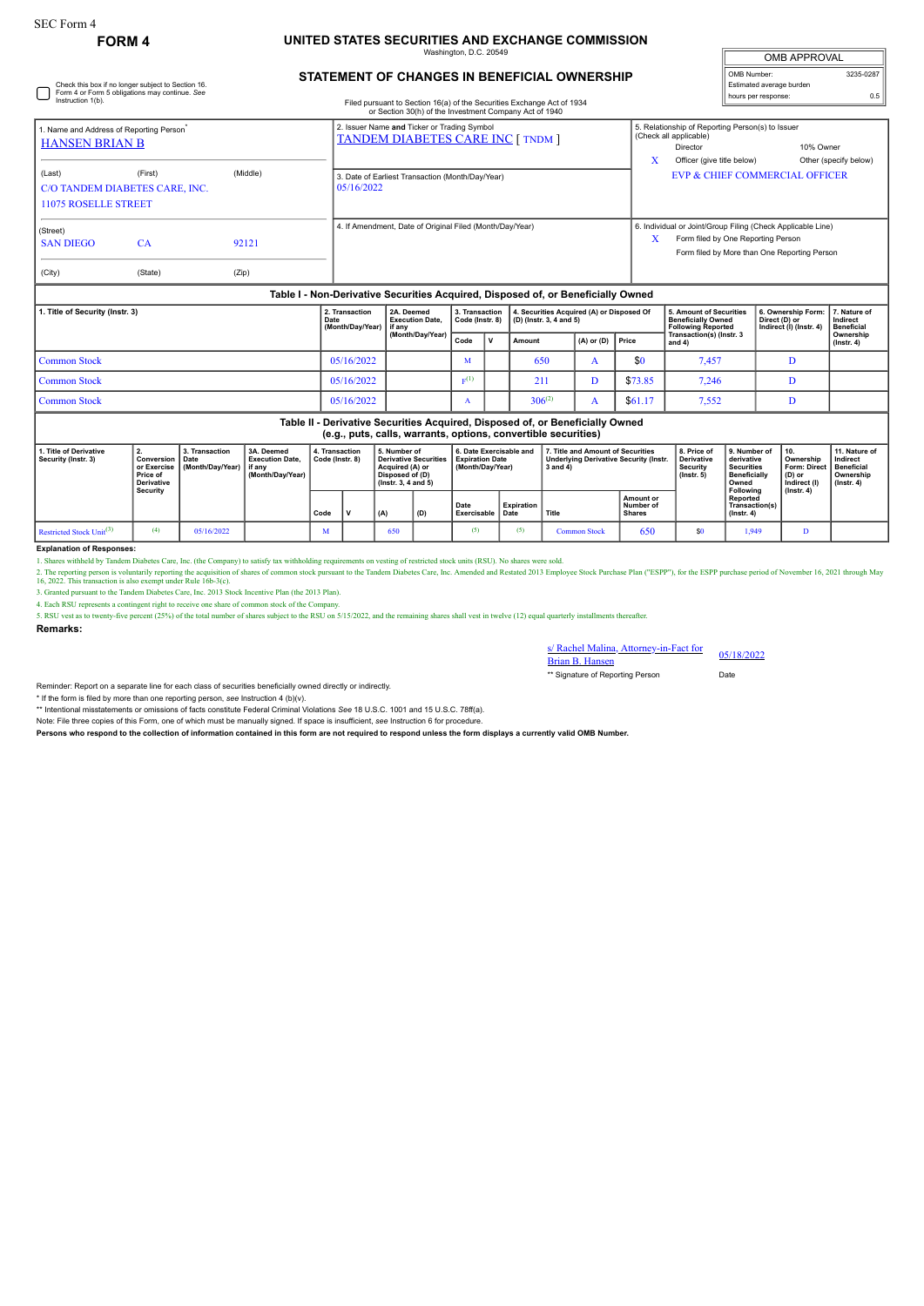Check this box if no longer subject to Section 16. Form 4 or Form 5 obligations may continue. *See* Instruction 1(b).

## **FORM 4 UNITED STATES SECURITIES AND EXCHANGE COMMISSION**

Washington, D.C. 20549

| <b>OMB APPROVAL</b> |  |  |  |  |  |  |  |  |
|---------------------|--|--|--|--|--|--|--|--|
| 3235-0287           |  |  |  |  |  |  |  |  |
|                     |  |  |  |  |  |  |  |  |
| 0.5                 |  |  |  |  |  |  |  |  |
|                     |  |  |  |  |  |  |  |  |

## **STATEMENT OF CHANGES IN BENEFICIAL OWNERSHIP**

Filed pursuant to Section 16(a) of the Securities Exchange Act of 1934

|                                                                                  |                                           |                | or Section 30(h) of the Investment Company Act of 1940                                  |   |                                                                                                                                                   |                                    |  |  |  |  |
|----------------------------------------------------------------------------------|-------------------------------------------|----------------|-----------------------------------------------------------------------------------------|---|---------------------------------------------------------------------------------------------------------------------------------------------------|------------------------------------|--|--|--|--|
| 1. Name and Address of Reporting Person <sup>*</sup><br><b>HANSEN BRIAN B</b>    |                                           |                | 2. Issuer Name and Ticker or Trading Symbol<br><b>TANDEM DIABETES CARE INC [ TNDM ]</b> | X | 5. Relationship of Reporting Person(s) to Issuer<br>(Check all applicable)<br>Director<br>Officer (give title below)                              | 10% Owner<br>Other (specify below) |  |  |  |  |
| (Last)<br><b>11075 ROSELLE STREET</b>                                            | (First)<br>C/O TANDEM DIABETES CARE, INC. | (Middle)       | 3. Date of Earliest Transaction (Month/Day/Year)<br>05/16/2022                          |   | <b>EVP &amp; CHIEF COMMERCIAL OFFICER</b>                                                                                                         |                                    |  |  |  |  |
| (Street)<br><b>SAN DIEGO</b><br>(City)                                           | <b>CA</b><br>(State)                      | 92121<br>(Zip) | 4. If Amendment, Date of Original Filed (Month/Day/Year)                                |   | 6. Individual or Joint/Group Filing (Check Applicable Line)<br>Form filed by One Reporting Person<br>Form filed by More than One Reporting Person |                                    |  |  |  |  |
| Table I - Non-Derivative Securities Acquired, Disposed of, or Beneficially Owned |                                           |                |                                                                                         |   |                                                                                                                                                   |                                    |  |  |  |  |

| 1. Title of Security (Instr. 3) | 2. Transaction<br>Date<br>(Month/Day/Year)   if any | 2A. Deemed<br><b>Execution Date.</b> | 3. Transaction<br>Code (Instr. 8) |              | 4. Securities Acquired (A) or Disposed Of<br>$ $ (D) (lnstr. 3, 4 and 5) |                      |         | 5. Amount of Securities<br><b>Beneficially Owned</b><br>l Following Reported | 6. Ownership Form: 7. Nature of<br>Direct (D) or<br>Indirect (I) (Instr. 4) | Indirect<br><b>Beneficial</b> |
|---------------------------------|-----------------------------------------------------|--------------------------------------|-----------------------------------|--------------|--------------------------------------------------------------------------|----------------------|---------|------------------------------------------------------------------------------|-----------------------------------------------------------------------------|-------------------------------|
|                                 |                                                     | (Month/Day/Year)                     | Code                              | $\mathbf{v}$ | <b>Amount</b>                                                            | $(A)$ or $(D)$ Price |         | Transaction(s) (Instr. 3<br>and 4)                                           |                                                                             | Ownership<br>$($ lnstr. 4 $)$ |
| Common Stock                    | 05/16/2022                                          |                                      |                                   |              | 650                                                                      |                      | \$0     | 7,457                                                                        |                                                                             |                               |
| Common Stock                    | 05/16/2022                                          |                                      | $E^{(1)}$                         |              | 211                                                                      |                      | \$73.85 | 7.246                                                                        |                                                                             |                               |
| <b>Common Stock</b>             | 05/16/2022                                          |                                      |                                   |              | $306^{(2)}$                                                              |                      | \$61.17 | 7,552                                                                        |                                                                             |                               |

**Table II - Derivative Securities Acquired, Disposed of, or Beneficially Owned (e.g., puts, calls, warrants, options, convertible securities)**

| 1. Title of Derivative<br>Security (Instr. 3) | Conversion<br>or Exercise<br>Price of<br><b>Derivative</b> | 3. Transaction<br>Date<br>Month/Day/Year) | 3A. Deemed<br><b>Execution Date.</b><br>l if anv<br>(Month/Dav/Year) | 4. Transaction<br>Code (Instr. 8) |  | 5. Number of<br><b>Derivative Securities</b><br>Acquired (A) or<br>Disposed of (D)<br>$($ lnstr. 3. 4 and 5 $)$ |     | 6. Date Exercisable and<br>Expiration Date<br>(Month/Dav/Year) |            | 7. Title and Amount of Securities<br><b>Underlying Derivative Security (Instr.</b><br>3 and 4) |                                         | 8. Price of<br>Derivative<br>Security<br>$($ lnstr $, 5)$ | 9. Number of<br>derivative<br><b>Securities</b><br><b>Beneficially</b><br>Owned | 10.<br>Ownership<br>Form: Direct   Beneficial<br>(D) or<br>Indirect (I) | 11. Nature of<br>Indirect<br>Ownership<br>$($ lnstr, 4 $)$ |
|-----------------------------------------------|------------------------------------------------------------|-------------------------------------------|----------------------------------------------------------------------|-----------------------------------|--|-----------------------------------------------------------------------------------------------------------------|-----|----------------------------------------------------------------|------------|------------------------------------------------------------------------------------------------|-----------------------------------------|-----------------------------------------------------------|---------------------------------------------------------------------------------|-------------------------------------------------------------------------|------------------------------------------------------------|
|                                               | Security                                                   |                                           |                                                                      | Code                              |  | (A)                                                                                                             | (D) | Date<br>Exercisable   Date                                     | Expiration | Title                                                                                          | Amount or<br>Number of<br><b>Shares</b> |                                                           | Following<br>Reported<br>Transaction(s)<br>$($ lnstr. 4 $)$                     | $($ lnstr. 4 $)$                                                        |                                                            |
| Restricted Stock Unit <sup>(3)</sup>          |                                                            | 05/16/2022                                |                                                                      | M                                 |  | 650                                                                                                             |     | (5)                                                            |            | <b>Common Stock</b>                                                                            | 650                                     | \$0                                                       | 1.949                                                                           | .,                                                                      |                                                            |

**Explanation of Responses:**

1. Shares withheld by Tandem Diabetes Care, Inc. (the Company) to satisfy tax withholding requirements on vesting of restricted stock units (RSU). No shares were sold.

2. The reporting person is voluntarily reporting the acquisition of shares of common stock pursuant to the Tandem Diabetes Care, Inc. Amended and Restated 2013 Employee Stock Purchase Plan ("ESPP"), for the ESPP purchase p

4. Each RSU represents a contingent right to receive one share of common stock of the Compa

5. RSU vest as to twenty-five percent (25%) of the total number of shares subject to the RSU on 5/15/2022, and the remaining shares shall vest in twelve (12) equal quarterly installments thereafter.

**Remarks:**

s/ Rachel Malina, Attorney-in-Fact for 05/18/2022<br>Brian B. Hansen \*\* Signature of Reporting Person Date

Reminder: Report on a separate line for each class of securities beneficially owned directly or indirectly.

\* If the form is filed by more than one reporting person, *see* Instruction 4 (b)(v). \*\* Intentional misstatements or omissions of facts constitute Federal Criminal Violations *See* 18 U.S.C. 1001 and 15 U.S.C. 78ff(a).

Note: File three copies of this Form, one of which must be manually signed. If space is insufficient, *see* Instruction 6 for procedure.

**Persons who respond to the collection of information contained in this form are not required to respond unless the form displays a currently valid OMB Number.**